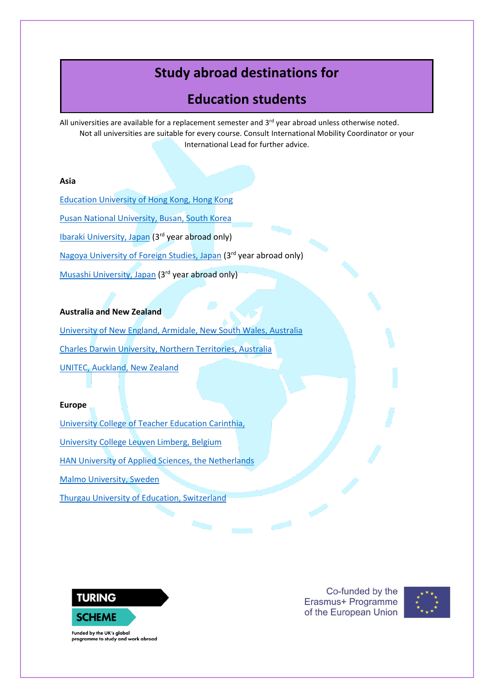# **Study abroad destinations for**

# **Education students**

All universities are available for a replacement semester and  $3<sup>rd</sup>$  year abroad unless otherwise noted. Not all universities are suitable for every course. Consult International Mobility Coordinator or your International Lead for further advice.

### **Asia**

[Education University of Hong Kong, Hong Kong](https://www.eduhk.hk/gao/en/page_content.php?level=3&id=77) [Pusan National University, Busan, South Korea](https://www.pusan.ac.kr/eng/Main.do%22%20%EF%BF%BDHYPERLINK%20%22https:/his.pusan.ac.kr/international_eng/41561/subview.do) [Ibaraki University, Japan](https://www.pusan.ac.kr/eng/Main.do%22%20%EF%BF%BDHYPERLINK%20%22https:/www.ibaraki.ac.jp/en/international-exchange-program/) (3rd year abroad only) [Nagoya University of Foreign Studies, Japan](https://en.nagoya-u.ac.jp/admissions/academic_exchange_students/index.html) (3rd year abroad only) [Musashi University, Japan](https://www.musashi.ac.jp/english/gec/for_students.html) (3rd year abroad only)

#### **Australia and New Zealand**

[University of New England, Armidale, New South Wales, Australia](https://www.une.edu.au/study/international) [Charles Darwin University, Northern Territories, Australia](https://www.cdu.edu.au/international) [UNITEC, Auckland, New Zealand](https://www.unitec.ac.nz/international)

#### **Europe**

[University College of Teacher Education Carinthia,](https://www.ph-kaernten.ac.at/en/international/)  [University College Leuven Limberg, Belgium](https://www.ucll.be/international) [HAN University of Applied Sciences, the Netherlands](https://hanuniversity.com/en/programs/coursefinder.xml#/level-Exchange-program) [Malmo University, Sweden](https://mau.se/en/education/apply-for-exchange-studies/) [Thurgau University of Education, Switzerland](https://international.phtg.ch/en/exchange-students-out/)



Co-funded by the Erasmus+ Programme of the European Union